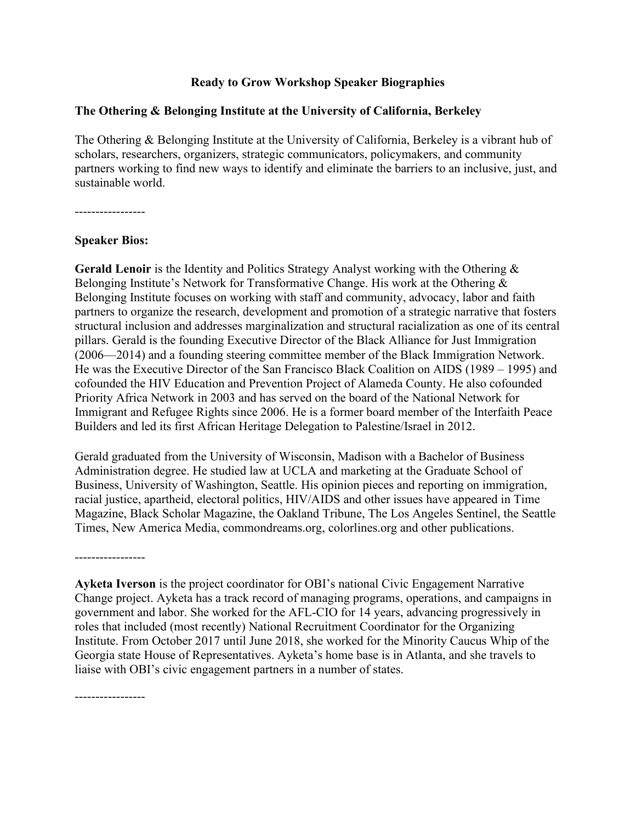## **Ready to Grow Workshop Speaker Biographies**

## **The Othering & Belonging Institute at the University of California, Berkeley**

The Othering & Belonging Institute at the University of California, Berkeley is a vibrant hub of scholars, researchers, organizers, strategic communicators, policymakers, and community partners working to find new ways to identify and eliminate the barriers to an inclusive, just, and sustainable world.

-----------------

## **Speaker Bios:**

**Gerald Lenoir** is the Identity and Politics Strategy Analyst working with the Othering & Belonging Institute's Network for Transformative Change. His work at the Othering & Belonging Institute focuses on working with staff and community, advocacy, labor and faith partners to organize the research, development and promotion of a strategic narrative that fosters structural inclusion and addresses marginalization and structural racialization as one of its central pillars. Gerald is the founding Executive Director of the Black Alliance for Just Immigration (2006—2014) and a founding steering committee member of the Black Immigration Network. He was the Executive Director of the San Francisco Black Coalition on AIDS (1989 – 1995) and cofounded the HIV Education and Prevention Project of Alameda County. He also cofounded Priority Africa Network in 2003 and has served on the board of the National Network for Immigrant and Refugee Rights since 2006. He is a former board member of the Interfaith Peace Builders and led its first African Heritage Delegation to Palestine/Israel in 2012.

Gerald graduated from the University of Wisconsin, Madison with a Bachelor of Business Administration degree. He studied law at UCLA and marketing at the Graduate School of Business, University of Washington, Seattle. His opinion pieces and reporting on immigration, racial justice, apartheid, electoral politics, HIV/AIDS and other issues have appeared in Time Magazine, Black Scholar Magazine, the Oakland Tribune, The Los Angeles Sentinel, the Seattle Times, New America Media, commondreams.org, colorlines.org and other publications.

**Ayketa Iverson** is the project coordinator for OBI's national Civic Engagement Narrative Change project. Ayketa has a track record of managing programs, operations, and campaigns in government and labor. She worked for the AFL-CIO for 14 years, advancing progressively in roles that included (most recently) National Recruitment Coordinator for the Organizing Institute. From October 2017 until June 2018, she worked for the Minority Caucus Whip of the Georgia state House of Representatives. Ayketa's home base is in Atlanta, and she travels to liaise with OBI's civic engagement partners in a number of states.

-----------------

-----------------